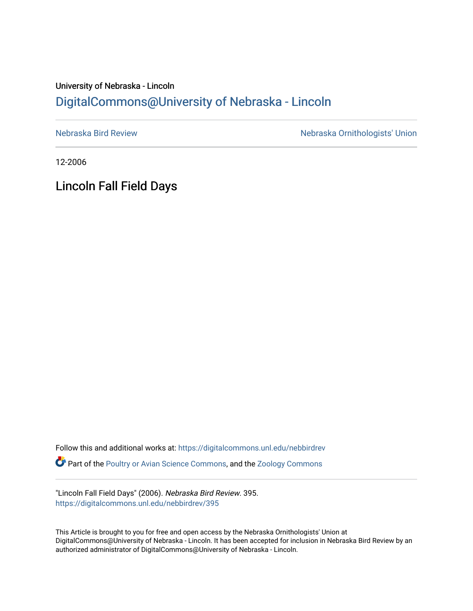## University of Nebraska - Lincoln [DigitalCommons@University of Nebraska - Lincoln](https://digitalcommons.unl.edu/)

[Nebraska Bird Review](https://digitalcommons.unl.edu/nebbirdrev) [Nebraska Ornithologists' Union](https://digitalcommons.unl.edu/nebornithologists) 

12-2006

Lincoln Fall Field Days

Follow this and additional works at: [https://digitalcommons.unl.edu/nebbirdrev](https://digitalcommons.unl.edu/nebbirdrev?utm_source=digitalcommons.unl.edu%2Fnebbirdrev%2F395&utm_medium=PDF&utm_campaign=PDFCoverPages) **Part of the [Poultry or Avian Science Commons](http://network.bepress.com/hgg/discipline/80?utm_source=digitalcommons.unl.edu%2Fnebbirdrev%2F395&utm_medium=PDF&utm_campaign=PDFCoverPages), and the Zoology Commons** 

"Lincoln Fall Field Days" (2006). Nebraska Bird Review. 395. [https://digitalcommons.unl.edu/nebbirdrev/395](https://digitalcommons.unl.edu/nebbirdrev/395?utm_source=digitalcommons.unl.edu%2Fnebbirdrev%2F395&utm_medium=PDF&utm_campaign=PDFCoverPages)

This Article is brought to you for free and open access by the Nebraska Ornithologists' Union at DigitalCommons@University of Nebraska - Lincoln. It has been accepted for inclusion in Nebraska Bird Review by an authorized administrator of DigitalCommons@University of Nebraska - Lincoln.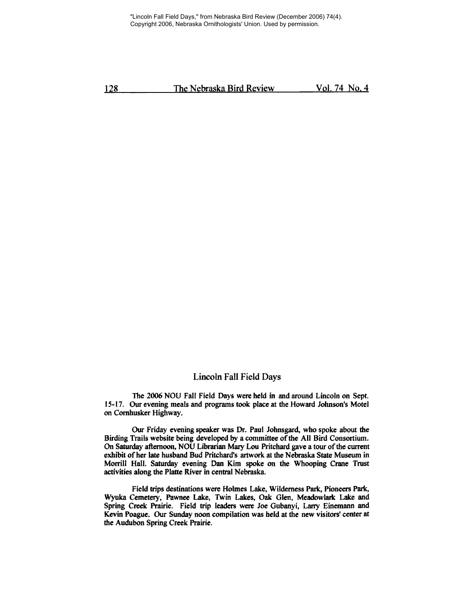"Lincoln Fall Field Days," from Nebraska Bird Review (December 2006) 74(4). Copyright 2006, Nebraska Ornithologists' Union. Used by permission.

128 The Nebraska Bird Review Vol. 74 No, 4

## Lincoln Fall Field Days

The 2006 NOU Fall Field Days were held in and around Lincoln on Sept. 15-17, Our evening meals and programs took place at the Howard Johnson's Motel on Comhusker Highway,

Our Friday evening speaker was Dr, Paul Johnsgard, who spoke about the Birding Trails website being developed by a committee of the All Bird Consortium. On Saturday afternoon, NOU Librarian Mary Lou Pritchard gave a tour of the current exhibit of her late husband Bud Pritchard's artwork at the Nebraska State Museum in Morrill Hall. Saturday evening Dan Kim spoke on the Whooping Crane Trost activities along the Platte River in central Nebraska.

Field trips destinations were Holmes Lake, Wilderness Park, Pioneers Park, Wyuka Cemetery, Pawnee Lake, Twin Lakes, Oak Glen, Meadowlark Lake and Spring Creek Prairie. Field trip leaders were Joe Gubanyi, Larry Einemann and Kevin Poague, Our Sunday noon compilation was held at the new visitors' center at the Audubon Spring Creek Prairie.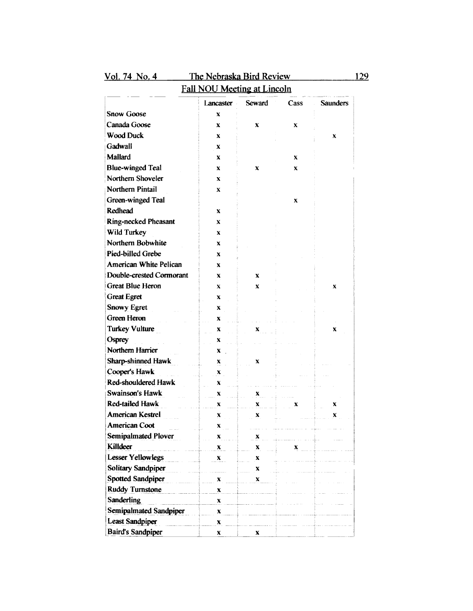| <u>Vol. 74 No. 4</u>               | The Nebraska Bird Review |               |         |                 | 129 |  |
|------------------------------------|--------------------------|---------------|---------|-----------------|-----|--|
| <b>Fall NOU Meeting at Lincoln</b> |                          |               |         |                 |     |  |
|                                    | Lancaster                | <b>Seward</b> | Cass    | <b>Saunders</b> |     |  |
| <b>Snow Goose</b>                  | $\mathbf x$              |               |         |                 |     |  |
| Canada Goose                       | x                        | x             | X       |                 |     |  |
| <b>Wood Duck</b>                   | X                        |               |         | x               |     |  |
| Gadwall                            | x                        |               |         |                 |     |  |
| Mallard                            | x                        |               | X       |                 |     |  |
| <b>Blue-winged Teal</b>            | X                        | X             | x       |                 |     |  |
| Northern Shoveler                  | X                        |               |         |                 |     |  |
| Northern Pintail                   | X                        |               |         |                 |     |  |
| Green-winged Teal                  |                          |               | $\bf X$ |                 |     |  |
| Redhead                            | X                        |               |         |                 |     |  |
| <b>Ring-necked Pheasant</b>        | X                        |               |         |                 |     |  |
| Wild Turkey                        | x                        |               |         |                 |     |  |
| Northern Bobwhite                  | X                        |               |         |                 |     |  |
| Pied-billed Grebe                  | X                        |               |         |                 |     |  |
| <b>American White Pelican</b>      | X                        |               |         |                 |     |  |
| Double-crested Cormorant           | $\mathbf x$              | X             |         |                 |     |  |
| <b>Great Blue Heron</b>            | $\mathbf{x}$             | x             |         | x               |     |  |
| <b>Great Egret</b>                 | x                        |               |         |                 |     |  |
| <b>Snowy Egret</b>                 | x                        |               |         |                 |     |  |
| Green Heron                        | x                        |               |         |                 |     |  |
| <b>Turkey Vulture</b>              | x                        | x             |         | X               |     |  |
| Osprey                             | x                        |               |         |                 |     |  |
| Northern Harrier                   |                          |               |         |                 |     |  |
| Sharp-shinned Hawk                 | $\mathbf{x}$             |               |         |                 |     |  |
| Cooper's Hawk                      | X                        | x             |         |                 |     |  |
| Red-shouldered Hawk                | x                        |               |         |                 |     |  |
| <b>Swainson's Hawk</b>             | x                        |               |         |                 |     |  |
| <b>Red-tailed Hawk</b>             | x                        | x             |         |                 |     |  |
|                                    | x                        | X             | x       | x               |     |  |
| American Kestrel                   | X                        |               |         |                 |     |  |
| <b>American Coot</b>               | X                        |               |         |                 |     |  |
| <b>Semipalmated Plover</b>         | X                        | x             |         |                 |     |  |
| Killdeer                           | X                        | X             | x       |                 |     |  |
| <b>Lesser Yellowlegs</b>           | x                        | X             |         |                 |     |  |
| <b>Solitary Sandpiper</b>          |                          | x             |         |                 |     |  |
| <b>Spotted Sandpiper</b>           | X                        | X             |         |                 |     |  |
| <b>Ruddy Turnstone</b>             | X                        |               |         |                 |     |  |
| <b>Sanderling</b>                  | X                        |               |         |                 |     |  |
| <b>Semipalmated Sandpiper</b>      | X                        |               |         |                 |     |  |
| <b>Least Sandpiper</b>             | X                        |               |         |                 |     |  |
| <b>Baird's Sandpiper</b>           | X                        | X             |         |                 |     |  |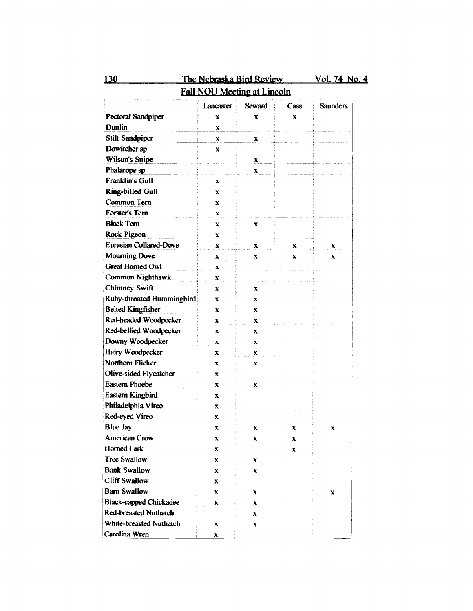| <b>Fall NOU Meeting at Lincoln</b> |           |        |      |                      |  |
|------------------------------------|-----------|--------|------|----------------------|--|
|                                    | Lancaster | Seward | Cass | <b>Saunders</b>      |  |
| <b>Pectoral Sandpiper</b>          | x         | X      | X    |                      |  |
| Dunlin                             | x         |        |      |                      |  |
| <b>Stilt Sandpiper</b>             | x         | x      |      |                      |  |
| Dowitcher sp                       | X         |        |      |                      |  |
| Wilson's Snipe                     |           | X      |      |                      |  |
| Phalarope sp                       |           | X      |      |                      |  |
| <b>Franklin's Gull</b>             | x         |        |      |                      |  |
| Ring-billed Gull                   | X         |        |      |                      |  |
| Common Tern                        | x         |        |      |                      |  |
| Forster's Tern                     | X         |        |      |                      |  |
| <b>Black Tern</b>                  | x         | X      |      |                      |  |
| Rock Pigeon                        | X         |        |      |                      |  |
| <b>Eurasian Collared-Dove</b>      | x         | x      | x    | $\mathbf{x}_{\perp}$ |  |
| <b>Mourning Dove</b>               | x         | x      | x    | x                    |  |
| <b>Great Horned Owl</b>            | x         |        |      |                      |  |
| <b>Common Nighthawk</b>            | x         |        |      |                      |  |
| Chimney Swift                      | x         | X      |      |                      |  |
| Ruby-throated Hummingbird          | x         | x      |      |                      |  |
| <b>Belted Kingfisher</b>           | X         | x      |      |                      |  |
| Red-headed Woodpecker              | X         | X      |      |                      |  |
| Red-bellied Woodpecker             | x         | x      |      |                      |  |
| Downy Woodpecker                   | x         | x      |      |                      |  |
| Hairy Woodpecker                   | x         | x      |      |                      |  |
| Northern Flicker                   | x         | x      |      |                      |  |
| Olive-sided Flycatcher             | x         |        |      |                      |  |
| <b>Eastern Phoebe</b>              | x         | x      |      |                      |  |
| Eastern Kingbird                   | X         |        |      |                      |  |
| Philadelphia Vireo                 | x         |        |      |                      |  |
| Red-eyed Vireo                     | x         |        |      |                      |  |
| <b>Blue Jay</b>                    | X         | x      | x    | X                    |  |
| <b>American Crow</b>               | x         | X      | x    |                      |  |
| <b>Horned Lark</b>                 | X         |        | X    |                      |  |
| <b>Tree Swallow</b>                | x         | x      |      |                      |  |
| <b>Bank Swallow</b>                | x         | X      |      |                      |  |
| <b>Cliff Swallow</b>               | X         |        |      |                      |  |
| <b>Barn Swallow</b>                | x         | x      |      | x                    |  |
| <b>Black-capped Chickadee</b>      | x         | x      |      |                      |  |
| <b>Red-breasted Nuthatch</b>       |           | x      |      |                      |  |
| White-breasted Nuthatch            | X         | x      |      |                      |  |
| Carolina Wren                      | x         |        |      |                      |  |